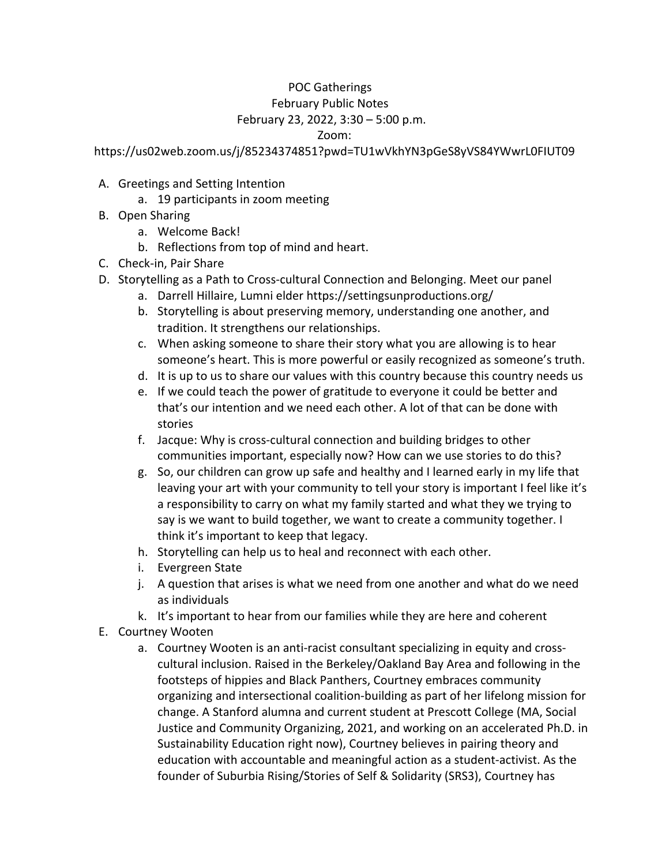## POC Gatherings    February Public Notes    February 23, 2022, 3:30 – 5:00 p.m.

Zoom:

https://us02web.zoom.us/j/85234374851?pwd=TU1wVkhYN3pGeS8yVS84YWwrL0FIUT09

- A. Greetings and Setting Intention
	- a. 19 participants in zoom meeting
- B. Open Sharing
	- a. Welcome Back!
	- b. Reflections from top of mind and heart.
- C. Check-in, Pair Share
- D. Storytelling as a Path to Cross-cultural Connection and Belonging. Meet our panel
	- a. Darrell Hillaire, Lumni elder https://settingsunproductions.org/
	- b. Storytelling is about preserving memory, understanding one another, and tradition. It strengthens our relationships.
	- c. When asking someone to share their story what you are allowing is to hear someone's heart. This is more powerful or easily recognized as someone's truth.
	- d. It is up to us to share our values with this country because this country needs us
	- e. If we could teach the power of gratitude to everyone it could be better and that's our intention and we need each other. A lot of that can be done with stories
	- f. Jacque: Why is cross-cultural connection and building bridges to other communities important, especially now? How can we use stories to do this?
	- g. So, our children can grow up safe and healthy and I learned early in my life that leaving your art with your community to tell your story is important I feel like it's a responsibility to carry on what my family started and what they we trying to say is we want to build together, we want to create a community together. I think it's important to keep that legacy.
	- h. Storytelling can help us to heal and reconnect with each other.
	- i. Evergreen State
	- j. A question that arises is what we need from one another and what do we need as individuals
	- k. It's important to hear from our families while they are here and coherent
- E. Courtney Wooten
	- a. Courtney Wooten is an anti-racist consultant specializing in equity and crosscultural inclusion. Raised in the Berkeley/Oakland Bay Area and following in the footsteps of hippies and Black Panthers, Courtney embraces community organizing and intersectional coalition-building as part of her lifelong mission for change. A Stanford alumna and current student at Prescott College (MA, Social Justice and Community Organizing, 2021, and working on an accelerated Ph.D. in Sustainability Education right now), Courtney believes in pairing theory and education with accountable and meaningful action as a student-activist. As the founder of Suburbia Rising/Stories of Self & Solidarity (SRS3), Courtney has